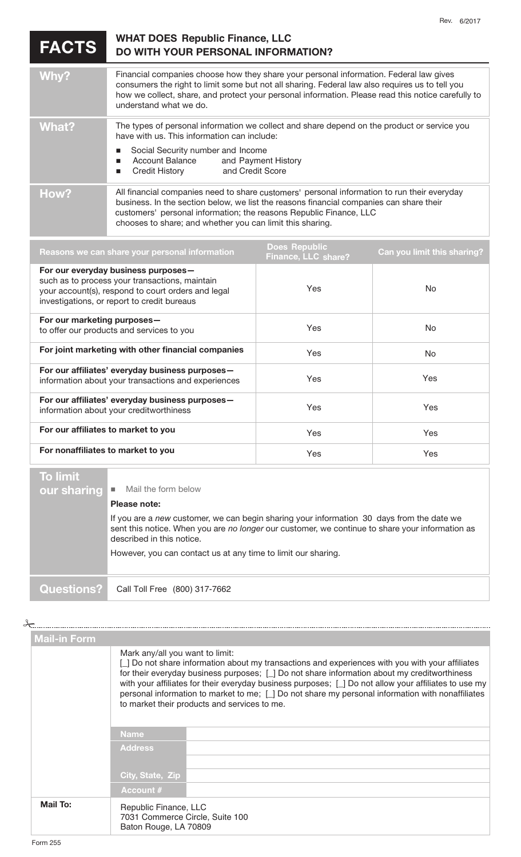**FACTS** 

## **DO WITH YOUR PERSONAL INFORMATION? WHAT DOES Republic Finance, LLC**

| Why?  | Financial companies choose how they share your personal information. Federal law gives<br>consumers the right to limit some but not all sharing. Federal law also requires us to tell you<br>how we collect, share, and protect your personal information. Please read this notice carefully to<br>understand what we do. |
|-------|---------------------------------------------------------------------------------------------------------------------------------------------------------------------------------------------------------------------------------------------------------------------------------------------------------------------------|
| What? | The types of personal information we collect and share depend on the product or service you<br>have with us. This information can include:<br>Social Security number and Income<br>Account Balance and Payment History<br>Credit History and Credit Score                                                                 |
| How?  | All financial companies need to share customers' personal information to run their everyday<br>business. In the section below, we list the reasons financial companies can share their<br>customers' personal information; the reasons Republic Finance, LLC<br>chooses to share; and whether you can limit this sharing. |

| Reasons we can share your personal information                                                                                                                                             | <b>Does Republic</b><br><b>Finance, LLC share?</b> | Can you limit this sharing? |
|--------------------------------------------------------------------------------------------------------------------------------------------------------------------------------------------|----------------------------------------------------|-----------------------------|
| For our everyday business purposes-<br>such as to process your transactions, maintain<br>your account(s), respond to court orders and legal<br>investigations, or report to credit bureaus | <b>Yes</b>                                         | No.                         |
| For our marketing purposes-<br>to offer our products and services to you                                                                                                                   | Yes                                                | No.                         |
| For joint marketing with other financial companies                                                                                                                                         | <b>Yes</b>                                         | No.                         |
| For our affiliates' everyday business purposes-<br>information about your transactions and experiences                                                                                     | Yes                                                | <b>Yes</b>                  |
| For our affiliates' everyday business purposes-<br>information about your creditworthiness                                                                                                 | Yes                                                | Yes                         |
| For our affiliates to market to you                                                                                                                                                        | Yes                                                | Yes                         |
| For nonaffiliates to market to you                                                                                                                                                         | Yes                                                | Yes                         |
|                                                                                                                                                                                            |                                                    |                             |

## **To limit**

| TO IIIIII U       |                                                                                                                                                                                                                           |
|-------------------|---------------------------------------------------------------------------------------------------------------------------------------------------------------------------------------------------------------------------|
| our sharing l     | Mail the form below<br>п                                                                                                                                                                                                  |
|                   | Please note:                                                                                                                                                                                                              |
|                   | If you are a new customer, we can begin sharing your information 30 days from the date we<br>sent this notice. When you are no longer our customer, we continue to share your information as<br>described in this notice. |
|                   | However, you can contact us at any time to limit our sharing.                                                                                                                                                             |
| <b>Questions?</b> | Call Toll Free (800) 317-7662                                                                                                                                                                                             |

 $\overline{\phantom{a}}$ 

**Mail-in Form**  Mark any/all you want to limit: [\_] Do not share information about my transactions and experiences with you with your affiliates for their everyday business purposes; [\_] Do not share information about my creditworthiness with your affiliates for their everyday business purposes; [\_] Do not allow your affiliates to use my personal information to market to me; [\_] Do not share my personal information with nonaffiliates to market their products and services to me. **Name Address City, State, Zip Account # Mail To:**  Republic Finance, LLC 7031 Commerce Circle, Suite 100 Baton Rouge, LA 70809